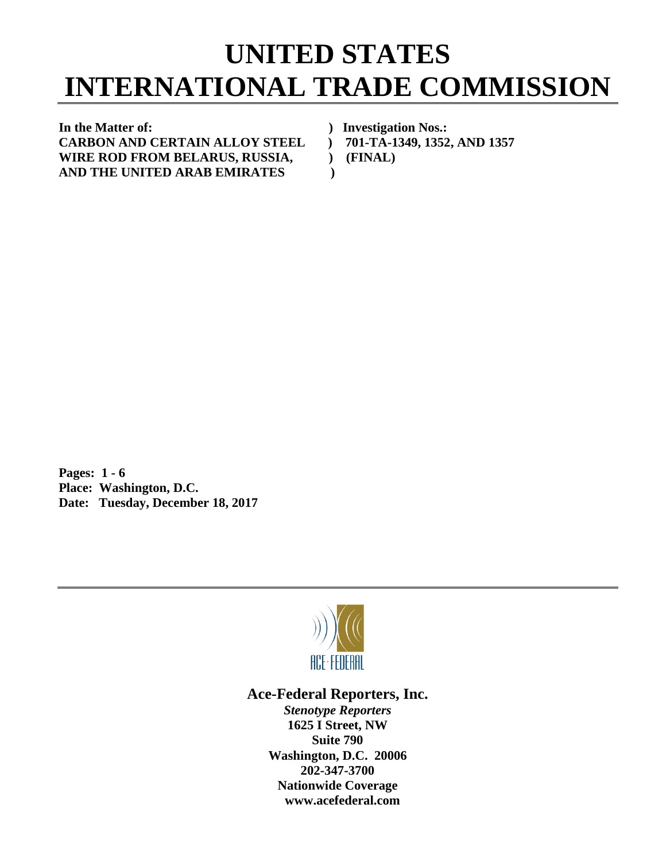## **UNITED STATES INTERNATIONAL TRADE COMMISSION**

**In the Matter of: ) Investigation Nos.: CARBON AND CERTAIN ALLOY STEEL ) 701-TA-1349, 1352, AND 1357** WIRE ROD FROM BELARUS, RUSSIA,  $(FINAL)$ **AND THE UNITED ARAB EMIRATES )**

**Pages: 1 - 6 Place: Washington, D.C. Date: Tuesday, December 18, 2017**



## **Ace-Federal Reporters, Inc.**

*Stenotype Reporters* **1625 I Street, NW Suite 790 Washington, D.C. 20006 202-347-3700 Nationwide Coverage www.acefederal.com**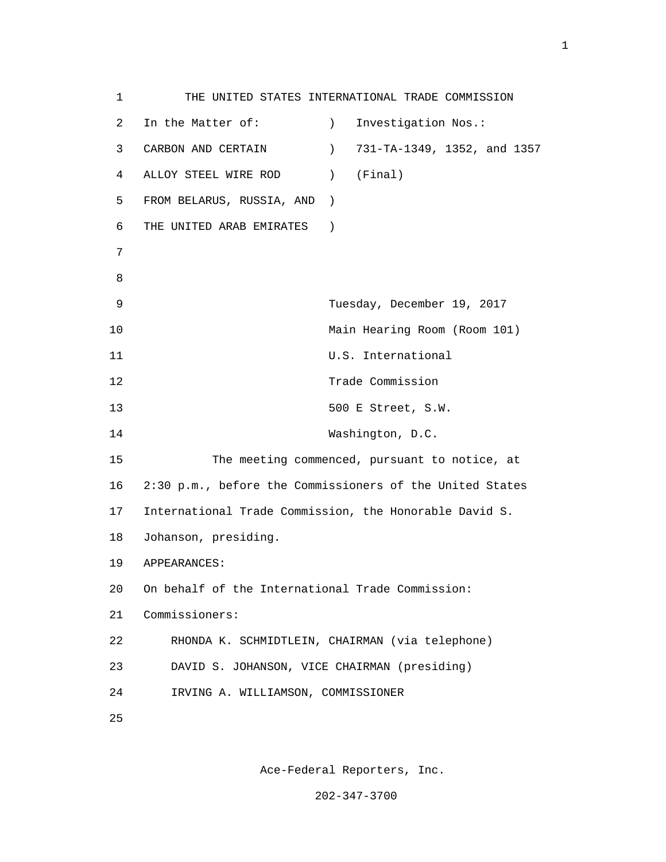1 THE UNITED STATES INTERNATIONAL TRADE COMMISSION 2 In the Matter of: (2008) 1nvestigation Nos.: 3 CARBON AND CERTAIN ) 731-TA-1349, 1352, and 1357 4 ALLOY STEEL WIRE ROD ) (Final) 5 FROM BELARUS, RUSSIA, AND ) 6 THE UNITED ARAB EMIRATES ) 7 e a seu ann an 1882. Bha an 1892 an 1892 an 1892 an 1892 an 1892. Bha an 1892 an 1892 an 1892 an 1892 an 1892 9 Tuesday, December 19, 2017 10 Main Hearing Room (Room 101) 11 U.S. International 12 Trade Commission 13 500 E Street, S.W. 14 Washington, D.C. 15 The meeting commenced, pursuant to notice, at 16 2:30 p.m., before the Commissioners of the United States 17 International Trade Commission, the Honorable David S. 18 Johanson, presiding. 19 APPEARANCES: 20 On behalf of the International Trade Commission: 21 Commissioners: 22 RHONDA K. SCHMIDTLEIN, CHAIRMAN (via telephone) 23 DAVID S. JOHANSON, VICE CHAIRMAN (presiding) 24 IRVING A. WILLIAMSON, COMMISSIONER <u>25</u>

Ace-Federal Reporters, Inc.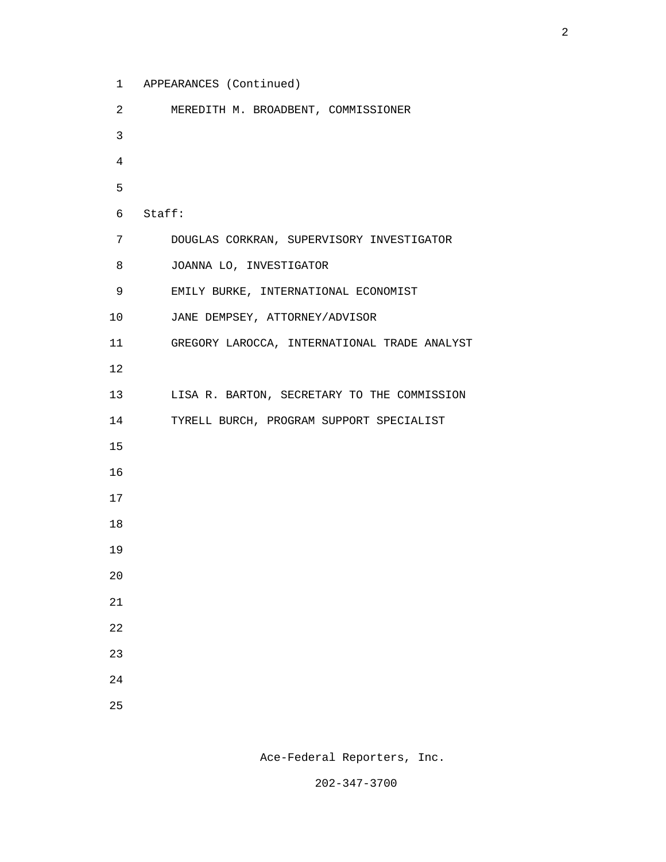1 APPEARANCES (Continued)

| 2              | MEREDITH M. BROADBENT, COMMISSIONER          |
|----------------|----------------------------------------------|
| $\mathsf{3}$   |                                              |
| $\overline{4}$ |                                              |
| 5              |                                              |
| 6              | Staff:                                       |
| 7              | DOUGLAS CORKRAN, SUPERVISORY INVESTIGATOR    |
| 8              | JOANNA LO, INVESTIGATOR                      |
| 9              | EMILY BURKE, INTERNATIONAL ECONOMIST         |
| 10             | JANE DEMPSEY, ATTORNEY/ADVISOR               |
| 11             | GREGORY LAROCCA, INTERNATIONAL TRADE ANALYST |
| 12             |                                              |
| 13             | LISA R. BARTON, SECRETARY TO THE COMMISSION  |
| 14             | TYRELL BURCH, PROGRAM SUPPORT SPECIALIST     |
| 15             |                                              |
| 16             |                                              |
| 17             |                                              |
| 18             |                                              |
| 19             |                                              |
| 20             |                                              |
| 21             |                                              |
| 22             |                                              |
| 23             |                                              |
| 24             |                                              |
| 25             |                                              |

Ace-Federal Reporters, Inc.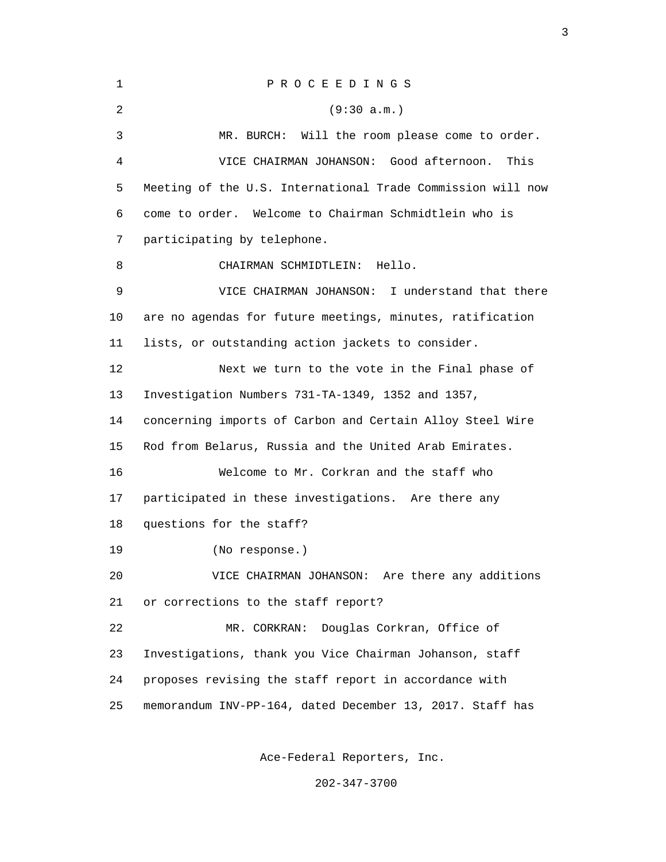| 1  | PROCEEDINGS                                                 |
|----|-------------------------------------------------------------|
| 2  | (9:30 a.m.)                                                 |
| 3  | MR. BURCH: Will the room please come to order.              |
| 4  | VICE CHAIRMAN JOHANSON: Good afternoon.<br>This             |
| 5  | Meeting of the U.S. International Trade Commission will now |
| 6  | come to order. Welcome to Chairman Schmidtlein who is       |
| 7  | participating by telephone.                                 |
| 8  | CHAIRMAN SCHMIDTLEIN:<br>Hello.                             |
| 9  | VICE CHAIRMAN JOHANSON: I understand that there             |
| 10 | are no agendas for future meetings, minutes, ratification   |
| 11 | lists, or outstanding action jackets to consider.           |
| 12 | Next we turn to the vote in the Final phase of              |
| 13 | Investigation Numbers 731-TA-1349, 1352 and 1357,           |
| 14 | concerning imports of Carbon and Certain Alloy Steel Wire   |
| 15 | Rod from Belarus, Russia and the United Arab Emirates.      |
| 16 | Welcome to Mr. Corkran and the staff who                    |
| 17 | participated in these investigations. Are there any         |
| 18 | questions for the staff?                                    |
| 19 | (No response.)                                              |
| 20 | VICE CHAIRMAN JOHANSON: Are there any additions             |
| 21 | or corrections to the staff report?                         |
| 22 | Douglas Corkran, Office of<br>MR. CORKRAN:                  |
| 23 | Investigations, thank you Vice Chairman Johanson, staff     |
| 24 | proposes revising the staff report in accordance with       |
| 25 | memorandum INV-PP-164, dated December 13, 2017. Staff has   |
|    |                                                             |

<u>3</u>

Ace-Federal Reporters, Inc.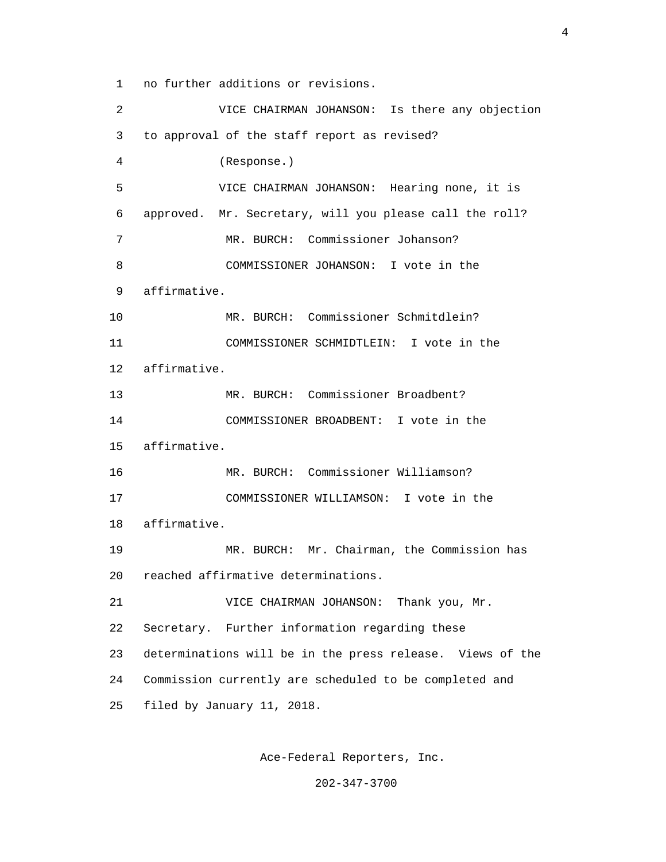1 no further additions or revisions.

 2 VICE CHAIRMAN JOHANSON: Is there any objection 3 to approval of the staff report as revised? 4 (Response.) 5 VICE CHAIRMAN JOHANSON: Hearing none, it is 6 approved. Mr. Secretary, will you please call the roll? 7 MR. BURCH: Commissioner Johanson? 8 COMMISSIONER JOHANSON: I vote in the 9 affirmative. 10 MR. BURCH: Commissioner Schmitdlein? 11 COMMISSIONER SCHMIDTLEIN: I vote in the 12 affirmative. 13 MR. BURCH: Commissioner Broadbent? 14 COMMISSIONER BROADBENT: I vote in the 15 affirmative. 16 MR. BURCH: Commissioner Williamson? 17 COMMISSIONER WILLIAMSON: I vote in the 18 affirmative. 19 MR. BURCH: Mr. Chairman, the Commission has 20 reached affirmative determinations. 21 VICE CHAIRMAN JOHANSON: Thank you, Mr. 22 Secretary. Further information regarding these 23 determinations will be in the press release. Views of the 24 Commission currently are scheduled to be completed and 25 filed by January 11, 2018.

Ace-Federal Reporters, Inc.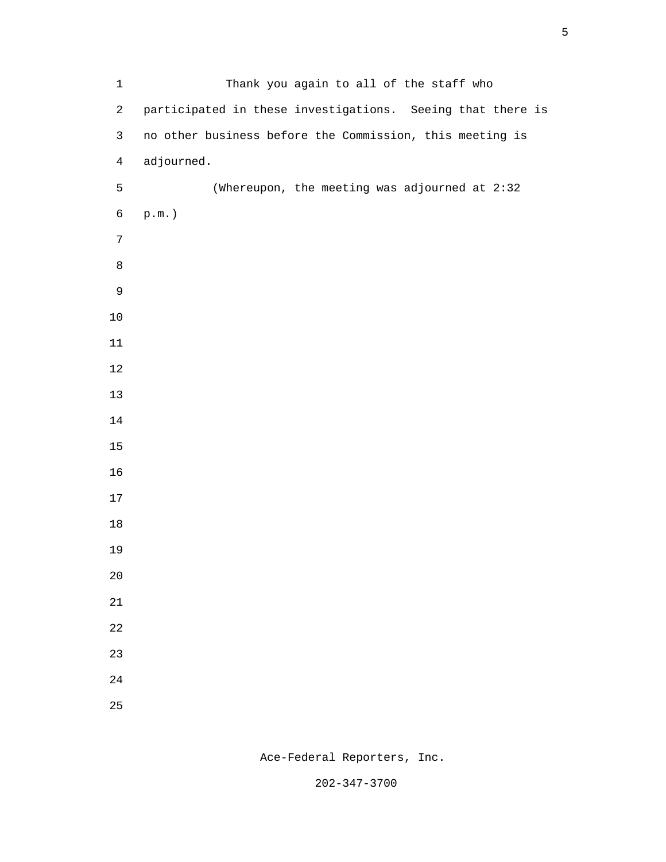| $\mathbf 1$      | Thank you again to all of the staff who                    |
|------------------|------------------------------------------------------------|
| $\overline{c}$   | participated in these investigations. Seeing that there is |
| $\mathsf{3}$     | no other business before the Commission, this meeting is   |
| $\overline{4}$   | adjourned.                                                 |
| 5                | (Whereupon, the meeting was adjourned at 2:32              |
| $\epsilon$       | $\texttt{p.m.}$ )                                          |
| $\boldsymbol{7}$ |                                                            |
| $\,8\,$          |                                                            |
| $\mathsf 9$      |                                                            |
| $10$             |                                                            |
| $11\,$           |                                                            |
| $12\,$           |                                                            |
| 13               |                                                            |
| $14$             |                                                            |
| $15$             |                                                            |
| 16               |                                                            |
| $17\,$           |                                                            |
| $18\,$           |                                                            |
| 19               |                                                            |
| $20\,$           |                                                            |
| $21\,$           |                                                            |
| 22               |                                                            |
| 23               |                                                            |
| 24               |                                                            |
| 25               |                                                            |

Ace-Federal Reporters, Inc.